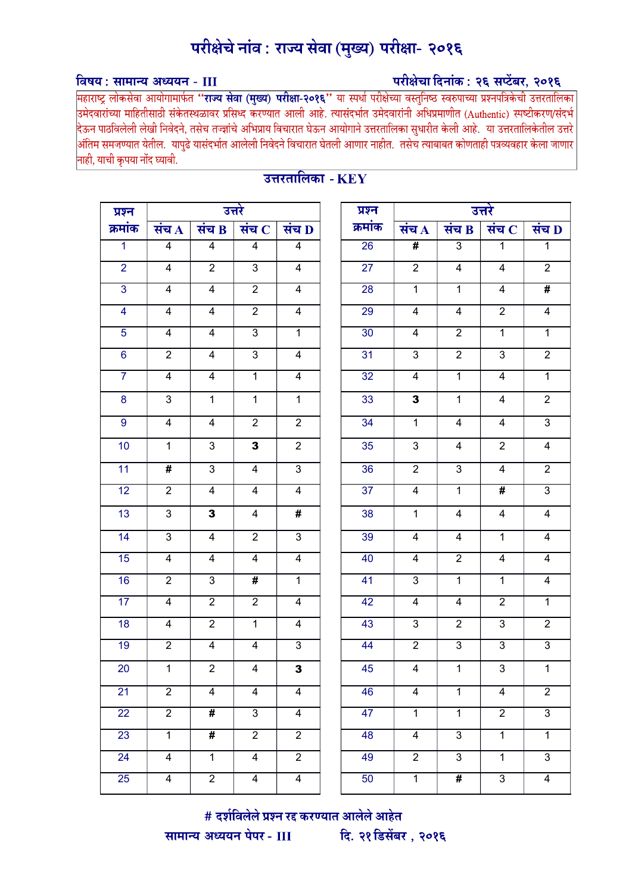# परीक्षेचे नांव : राज्य सेवा (मुख्य) परीक्षा- २०१६

## परीक्षेचा दिनांक: २६ सप्टेंबर, २०१६

### विषय: सामान्य अध्ययन - III

महाराष्ट्र लोकसेवा आयोगामार्फत **''राज्य सेवा (मुख्य) परीक्षा-२०१६''** या स्पर्धा परीक्षेच्या वस्तुनिष्ठ स्वरुपाच्या प्रश्नपत्रिकेची उत्तरतालिका<br>उमेदवारांच्या माहितीसाठी संकेतस्थळावर प्रसिध्द करण्यात आली आहे. त्यासंदर्भात उ .<br>दिऊन पाठविलेली लेखी निवेदने, तसेच तज्ज्ञांचे अभिप्राय विचारात घेऊन आयोगाने उत्तरतालिका सुधारीत केली आहे. या उत्तरतालिकेतील उत्तरे |<br>अंतिम समजण्यात येतील. यापुढे यासंदर्भात आलेली निवेदने विचारात घेतली आणार नाहीत. तसेच त्याबाबत कोणताही पत्रव्यवहार केला जाणार नाही, याची कृपया नोंद घ्यावी.

| प्रश्न          |                         |                         | उत्तरे                  |                         | प्रश्न          |                         |                 | उत्तरे                  |                |
|-----------------|-------------------------|-------------------------|-------------------------|-------------------------|-----------------|-------------------------|-----------------|-------------------------|----------------|
| क्रमांक         | संच $\overline{A}$      | संच $\bf{B}$            | संच $\,$ $\,$           | संच D                   | क्रमांक         | संच $\overline{A}$      | संच B           | संच $ {\bf C} $         | संच 1          |
| $\overline{1}$  | $\overline{4}$          | $\overline{4}$          | $\overline{\mathbf{4}}$ | $\overline{4}$          | 26              | #                       | $\mathfrak{S}$  | $\mathbf{1}$            | $\overline{1}$ |
| $\overline{2}$  | $\overline{4}$          | $\overline{2}$          | $\overline{3}$          | $\overline{4}$          | $\overline{27}$ | $\overline{2}$          | $\overline{4}$  | $\overline{\mathbf{4}}$ | $\overline{2}$ |
| $\overline{3}$  | $\overline{\mathbf{4}}$ | $\overline{4}$          | $\overline{2}$          | $\overline{\mathbf{4}}$ | 28              | $\mathbf{1}$            | $\mathbf{1}$    | $\overline{\mathbf{4}}$ | #              |
| $\overline{4}$  | $\overline{4}$          | $\overline{4}$          | $\overline{2}$          | $\overline{4}$          | 29              | $\overline{4}$          | $\overline{4}$  | $\overline{2}$          | $\overline{4}$ |
| $\overline{5}$  | $\overline{4}$          | $\overline{4}$          | $\overline{3}$          | $\overline{1}$          | 30              | $\overline{\mathbf{4}}$ | $\overline{2}$  | $\overline{1}$          | $\overline{1}$ |
| $\overline{6}$  | $\overline{2}$          | $\overline{4}$          | $\overline{3}$          | $\overline{4}$          | 31              | 3                       | $\overline{2}$  | $\mathfrak{S}$          | $\overline{2}$ |
| $\overline{7}$  | $\overline{4}$          | $\overline{4}$          | $\overline{1}$          | $\overline{\mathbf{4}}$ | $\overline{32}$ | $\overline{\mathbf{4}}$ | $\overline{1}$  | $\overline{4}$          | $\overline{1}$ |
| 8               | $\mathfrak{S}$          | $\mathbf{1}$            | $\mathbf{1}$            | $\mathbf{1}$            | 33              | $\mathbf{3}$            | $\mathbf{1}$    | 4                       | $\overline{2}$ |
| $\overline{9}$  | $\overline{4}$          | $\overline{4}$          | $\overline{2}$          | $\overline{2}$          | 34              | $\overline{1}$          | $\overline{4}$  | $\overline{4}$          | $\overline{3}$ |
| 10              | $\mathbf{1}$            | $\mathbf{3}$            | $\mathbf{3}$            | $\overline{2}$          | 35              | $\mathfrak{S}$          | $\overline{4}$  | $\overline{2}$          | $\overline{4}$ |
| $\overline{11}$ | #                       | $\overline{3}$          | $\overline{4}$          | $\overline{3}$          | 36              | $\overline{2}$          | $\overline{3}$  | $\overline{4}$          | $\overline{2}$ |
| 12              | $\overline{2}$          | $\overline{4}$          | $\overline{\mathbf{4}}$ | $\overline{\mathbf{4}}$ | 37              | $\overline{4}$          | $\mathbf{1}$    | $\overline{\#}$         | $\overline{3}$ |
| 13              | $\sqrt{3}$              | $\overline{\mathbf{3}}$ | 4                       | #                       | 38              | $\mathbf{1}$            | $\overline{4}$  | 4                       | $\overline{4}$ |
| 14              | $\overline{3}$          | $\overline{4}$          | $\overline{2}$          | $\overline{3}$          | 39              | $\overline{\mathbf{4}}$ | $\overline{4}$  | $\overline{1}$          |                |
| 15              | $\overline{\mathbf{4}}$ | $\overline{4}$          | 4                       | $\overline{4}$          | 40              | 4                       | $\overline{2}$  | $\overline{\mathbf{4}}$ |                |
| 16              | $\overline{2}$          | $\overline{3}$          | $\overline{\#}$         | $\overline{1}$          | 41              | $\overline{3}$          | $\overline{1}$  | $\overline{1}$          |                |
| 17              | 4                       | $\overline{2}$          | $\overline{2}$          | 4                       | 42              | $\overline{\mathbf{4}}$ | $\overline{4}$  | $\overline{2}$          |                |
| 18              | $\overline{\mathbf{4}}$ | $\overline{2}$          | $\overline{1}$          | $\overline{\mathbf{4}}$ | 43              | $\overline{3}$          | $\overline{2}$  | $\overline{3}$          |                |
| 19              | $\overline{2}$          | $\overline{4}$          | $\overline{\mathbf{4}}$ | $\overline{3}$          | 44              | $\overline{2}$          | $\overline{3}$  | $\overline{3}$          |                |
| 20              | $\mathbf{1}$            | $\overline{2}$          | $\overline{4}$          | 3                       | 45              | $\overline{\mathbf{4}}$ | $\mathbf{1}$    | $\mathbf{3}$            |                |
| 21              | $\overline{2}$          | 4                       | 4                       | 4                       | 46              | 4                       | 1               | 4                       |                |
| 22              | $\overline{2}$          | $\overline{\#}$         | $\overline{3}$          | $\overline{\mathbf{4}}$ | 47              | $\overline{1}$          | $\overline{1}$  | $\overline{2}$          |                |
| 23              | $\mathbf{1}$            | #                       | $\overline{2}$          | $\overline{2}$          | 48              | $\overline{\mathbf{4}}$ | $\mathbf{3}$    | $\overline{1}$          |                |
| 24              | $\overline{4}$          | $\mathbf{1}$            | $\overline{4}$          | $\overline{2}$          | 49              | $\overline{2}$          | 3               | $\mathbf{1}$            |                |
| 25              | $\overline{4}$          | $\overline{2}$          | $\overline{4}$          | $\overline{\mathbf{4}}$ | 50              | $\overline{1}$          | $\overline{\#}$ | $\overline{3}$          |                |

## <u>उत्तरतालिका -  $\overline{\rm \bf KEV}$ </u>

| प्रश्न          |                           |                 | उत्तरे             |                         |
|-----------------|---------------------------|-----------------|--------------------|-------------------------|
| क्रमांक         | संच $\overline{A}$        | संच B           | संच $\overline{C}$ | संच D                   |
| $\overline{26}$ | #                         | $\overline{3}$  | 1                  | $\overline{1}$          |
| $\overline{27}$ | $\overline{2}$            | $\overline{4}$  | $\overline{4}$     | $\overline{2}$          |
| $\overline{28}$ | $\overline{1}$            | $\overline{1}$  | 4                  | #                       |
| $\overline{29}$ | $\overline{4}$            | $\overline{4}$  | $\overline{2}$     | $\overline{4}$          |
| $\overline{30}$ | $\overline{4}$            | $\overline{2}$  | $\overline{1}$     | $\overline{1}$          |
| $\overline{31}$ | $\overline{3}$            | $\overline{2}$  | $\overline{3}$     | $\overline{2}$          |
| $\overline{32}$ | $\overline{4}$            | $\overline{1}$  | $\overline{4}$     | $\overline{1}$          |
| 33              | 3                         | $\mathbf 1$     | 4                  | $\overline{2}$          |
| 34              | 1                         | 4               | 4                  | 3                       |
| 35              | 3                         | 4               | $\overline{c}$     | 4                       |
| $\overline{36}$ | $\overline{2}$            | $\overline{3}$  | $\overline{4}$     | $\overline{2}$          |
| $\overline{37}$ | $\overline{4}$            | $\overline{1}$  | #                  | $\overline{3}$          |
| 38              | $\mathbf 1$               | 4               | 4                  | $\overline{\mathbf{4}}$ |
| 39              | 4                         | $\overline{4}$  | $\overline{1}$     | 4                       |
| 40              | $\overline{4}$            | $\overline{2}$  | $\overline{4}$     | $\overline{4}$          |
| 41              | $\overline{\overline{3}}$ | $\overline{1}$  | $\overline{1}$     | $\overline{4}$          |
| 42              | $\overline{4}$            | $\overline{4}$  | $\overline{2}$     | $\overline{1}$          |
| $\overline{43}$ | 3                         | $\overline{c}$  | $\overline{3}$     | 2                       |
| $\overline{44}$ | $\overline{2}$            | $\overline{3}$  | $\overline{3}$     | 3                       |
| 45              | 4                         | $\overline{1}$  | 3                  | $\mathbf{1}$            |
| 46              | $\overline{4}$            | $\overline{1}$  | $\overline{4}$     | $\overline{2}$          |
| 47              | $\overline{1}$            | $\overline{1}$  | $\overline{2}$     | $\overline{3}$          |
| $\overline{48}$ | $\overline{4}$            | $\overline{3}$  | $\overline{1}$     | $\overline{1}$          |
| 49              | $\overline{2}$            | $\overline{3}$  | $\overline{1}$     | $\overline{3}$          |
| $\overline{50}$ | $\overline{1}$            | $\overline{\#}$ | $\overline{3}$     | $\overline{4}$          |

# दर्शविलेले प्रश्न रद्द करण्यात आलेले आहेत दि. २१ डिसेंबर, २०१६ सामान्य अध्ययन पेपर - III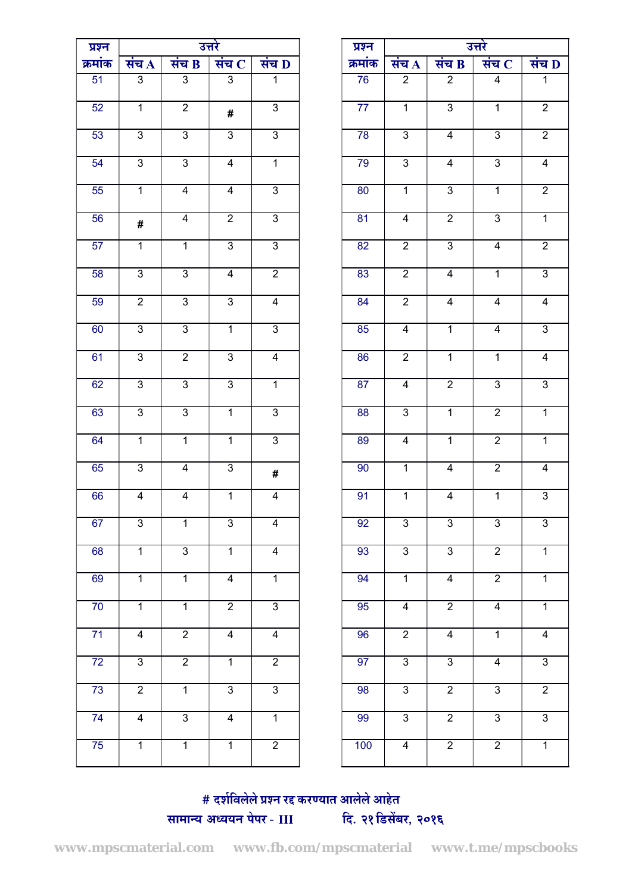| प्रश्न          |                    |                         | उत्तरे                  |                | प्रश्न          |                    |                         | उत्तरे                  |                |
|-----------------|--------------------|-------------------------|-------------------------|----------------|-----------------|--------------------|-------------------------|-------------------------|----------------|
| क्रमांक         | संच $\overline{A}$ | संच $\mathbf B$         | संच $ {\bf C} $         | संच $\bf{D}$   | क्रमांक         | संच $\overline{A}$ | संच $B$                 | संच $\,$ $\,$           | संच 1          |
| 51              | $\overline{3}$     | $\overline{3}$          | $\overline{3}$          | $\overline{1}$ | 76              | $\overline{2}$     | $\overline{2}$          | $\overline{\mathbf{4}}$ | $\overline{1}$ |
| 52              | $\overline{1}$     | $\overline{2}$          | #                       | $\overline{3}$ | 77              | $\overline{1}$     | $\overline{3}$          | $\overline{1}$          | $\overline{2}$ |
| 53              | $\overline{3}$     | $\overline{3}$          | $\overline{3}$          | $\overline{3}$ | 78              | $\overline{3}$     | $\overline{4}$          | $\overline{3}$          | $\overline{2}$ |
| 54              | $\overline{3}$     | $\overline{3}$          | $\overline{4}$          | $\overline{1}$ | 79              | $\overline{3}$     | $\overline{4}$          | $\overline{3}$          | $\overline{4}$ |
| 55              | $\overline{1}$     | $\overline{4}$          | $\overline{4}$          | $\overline{3}$ | 80              | $\overline{1}$     | $\overline{3}$          | $\overline{1}$          | $\overline{2}$ |
| 56              | #                  | $\overline{\mathbf{4}}$ | $\overline{2}$          | $\overline{3}$ | 81              | $\overline{4}$     | $\overline{2}$          | $\overline{3}$          | $\overline{1}$ |
| 57              | $\overline{1}$     | $\overline{1}$          | $\overline{3}$          | $\overline{3}$ | 82              | $\overline{2}$     | $\overline{3}$          | $\overline{4}$          | $\overline{2}$ |
| 58              | $\overline{3}$     | $\overline{3}$          | $\overline{\mathbf{4}}$ | $\overline{2}$ | 83              | $\overline{2}$     | $\overline{4}$          | $\overline{1}$          | $\overline{3}$ |
| 59              | $\overline{2}$     | $\overline{3}$          | $\overline{3}$          | $\overline{4}$ | 84              | $\overline{2}$     | $\overline{\mathbf{4}}$ | $\overline{4}$          | $\overline{4}$ |
| 60              | $\overline{3}$     | $\overline{3}$          | $\overline{1}$          | $\overline{3}$ | 85              | $\overline{4}$     | $\overline{1}$          | $\overline{4}$          | $\overline{3}$ |
| 61              | $\overline{3}$     | $\overline{2}$          | $\overline{3}$          | 4              | 86              | $\overline{2}$     | $\mathbf{1}$            | $\overline{1}$          | $\overline{4}$ |
| 62              | $\mathfrak{B}$     | $\overline{3}$          | $\overline{3}$          | $\overline{1}$ | 87              | $\overline{4}$     | $\overline{2}$          | $\overline{3}$          | $\overline{3}$ |
| 63              | $\overline{3}$     | $\overline{3}$          | $\overline{1}$          | $\overline{3}$ | 88              | $\overline{3}$     | $\overline{1}$          | $\overline{2}$          | $\overline{1}$ |
| 64              | $\overline{1}$     | $\overline{1}$          | $\overline{1}$          | $\overline{3}$ | 89              | $\overline{4}$     | $\overline{1}$          | $\overline{2}$          | $\overline{1}$ |
| 65              | $\overline{3}$     | $\overline{4}$          | $\overline{3}$          | #              | 90              | $\overline{1}$     | $\overline{4}$          | $\overline{2}$          | $\overline{4}$ |
| 66              | $\overline{4}$     | $\overline{\mathbf{4}}$ | $\overline{1}$          | $\overline{4}$ | 91              | $\overline{1}$     | $\overline{\mathbf{4}}$ | $\overline{1}$          | $\overline{3}$ |
| 67              | $\overline{3}$     | $\overline{1}$          | $\overline{3}$          | $\overline{4}$ | 92              | $\overline{3}$     | $\overline{3}$          | $\overline{3}$          | $\overline{3}$ |
| 68              | $\overline{1}$     | $\overline{3}$          | $\overline{1}$          | $\overline{4}$ | 93              | $\overline{3}$     | $\overline{3}$          | $\overline{2}$          | $\overline{1}$ |
| 69              | $\overline{1}$     | $\overline{1}$          | $\overline{4}$          | $\overline{1}$ | 94              | $\overline{1}$     | $\overline{4}$          | $\overline{2}$          | $\overline{1}$ |
| $\overline{70}$ | $\overline{1}$     | $\overline{1}$          | $\overline{2}$          | $\overline{3}$ | 95              | $\overline{4}$     | $\overline{2}$          | $\overline{4}$          | $\overline{1}$ |
| $\overline{71}$ | $\overline{4}$     | $\overline{2}$          | $\overline{4}$          | $\overline{4}$ | 96              | $\overline{2}$     | $\overline{4}$          | $\overline{1}$          | $\overline{4}$ |
| $\overline{72}$ | $\overline{3}$     | $\overline{2}$          | $\overline{1}$          | $\overline{2}$ | $\overline{97}$ | $\overline{3}$     | $\overline{3}$          | $\overline{4}$          | $\overline{3}$ |
| $\overline{73}$ | $\overline{2}$     | $\overline{1}$          | $\overline{3}$          | $\overline{3}$ | 98              | $\overline{3}$     | $\overline{2}$          | $\overline{3}$          | $\overline{2}$ |
| $\overline{74}$ | $\overline{4}$     | $\overline{3}$          | $\overline{4}$          | $\overline{1}$ | 99              | $\overline{3}$     | $\overline{2}$          | $\overline{3}$          | $\overline{3}$ |
| 75              | $\overline{1}$     | $\overline{1}$          | $\overline{1}$          | $\overline{2}$ | 100             | $\overline{4}$     | $\overline{2}$          | $\overline{2}$          | $\overline{1}$ |
|                 |                    |                         |                         |                |                 |                    |                         |                         |                |

| उत्तरे                    |                         |                         | प्रश्न          |                         |                         | उत्तरे         |                           |
|---------------------------|-------------------------|-------------------------|-----------------|-------------------------|-------------------------|----------------|---------------------------|
| व $\bf B$                 | संच $ {\bf C} $         | संच $\overline{D}$      | क्रमांक         | संच $\overline{A}$      | संच $B$                 | संच $ C $      | संच D                     |
| $\overline{3}$            | $\overline{3}$          | $\overline{1}$          | 76              | $\overline{2}$          | $\overline{2}$          | $\overline{4}$ | $\overline{1}$            |
| $\overline{2}$            | #                       | $\overline{3}$          | 77              | $\overline{1}$          | $\overline{3}$          | $\overline{1}$ | $\overline{2}$            |
| $\overline{3}$            | $\overline{3}$          | $\overline{3}$          | 78              | $\overline{3}$          | $\overline{\mathbf{4}}$ | $\overline{3}$ | $\overline{2}$            |
| $\overline{3}$            | $\overline{4}$          | $\overline{1}$          | 79              | $\overline{3}$          | $\overline{4}$          | $\overline{3}$ | $\overline{4}$            |
| $\overline{4}$            | $\overline{4}$          | $\overline{3}$          | $\overline{80}$ | $\overline{1}$          | $\overline{3}$          | $\overline{1}$ | $\overline{2}$            |
| $\overline{4}$            | $\overline{2}$          | $\overline{3}$          | $\overline{81}$ | $\overline{4}$          | $\overline{2}$          | $\overline{3}$ | $\overline{1}$            |
| $\overline{1}$            | $\overline{3}$          | $\overline{3}$          | 82              | $\overline{2}$          | $\overline{3}$          | $\overline{4}$ | $\overline{2}$            |
| $\overline{3}$            | $\overline{4}$          | $\overline{2}$          | 83              | $\overline{2}$          | $\overline{4}$          | $\overline{1}$ | $\overline{3}$            |
| $\overline{3}$            | $\overline{3}$          | $\overline{4}$          | 84              | $\overline{2}$          | $\overline{4}$          | $\overline{4}$ | $\overline{4}$            |
| $\overline{3}$            | $\overline{1}$          | $\overline{3}$          | 85              | $\overline{\mathbf{4}}$ | $\overline{1}$          | $\overline{4}$ | $\overline{3}$            |
| $\overline{2}$            | $\overline{3}$          | $\overline{\mathbf{4}}$ | 86              | $\overline{2}$          | $\overline{1}$          | $\overline{1}$ | $\overline{\mathbf{4}}$   |
| $\overline{3}$            | 3                       | $\mathbf{1}$            | 87              | $\overline{\mathbf{4}}$ | $\overline{c}$          | 3              | $\ensuremath{\mathsf{3}}$ |
| $\overline{\overline{3}}$ | $\overline{1}$          | $\overline{3}$          | 88              | $\overline{3}$          | $\overline{1}$          | $\overline{2}$ | $\overline{1}$            |
| $\overline{1}$            | $\overline{1}$          | $\overline{3}$          | 89              | $\overline{4}$          | $\overline{1}$          | $\overline{2}$ | $\overline{1}$            |
| $\overline{4}$            | $\overline{3}$          | #                       | 90              | $\overline{1}$          | $\overline{\mathbf{4}}$ | $\overline{2}$ | $\overline{4}$            |
| $\overline{4}$            | $\overline{1}$          | $\overline{4}$          | 91              | $\overline{1}$          | $\overline{\mathbf{4}}$ | $\overline{1}$ | $\overline{3}$            |
| $\overline{1}$            | $\overline{3}$          | $\overline{4}$          | $\overline{92}$ | $\overline{3}$          | $\overline{3}$          | $\overline{3}$ | $\overline{3}$            |
| $\overline{3}$            | $\overline{1}$          | $\overline{4}$          | $\overline{93}$ | $\overline{3}$          | $\overline{3}$          | $\overline{2}$ | $\overline{1}$            |
| $\overline{1}$            | $\overline{\mathbf{4}}$ | $\overline{1}$          | 94              | $\overline{1}$          | $\overline{4}$          | $\overline{2}$ | $\overline{1}$            |
| $\overline{1}$            | $\overline{2}$          | $\overline{3}$          | 95              | $\overline{4}$          | $\overline{2}$          | $\overline{4}$ | $\overline{1}$            |
| $\overline{2}$            | $\overline{\mathbf{4}}$ | $\overline{4}$          | 96              | $\overline{2}$          | $\overline{4}$          | $\overline{1}$ | $\overline{4}$            |
| $\overline{2}$            | $\overline{1}$          | $\overline{2}$          | 97              | $\overline{3}$          | $\overline{3}$          | $\overline{4}$ | $\overline{3}$            |
| $\overline{1}$            | $\overline{3}$          | $\overline{3}$          | 98              | $\overline{3}$          | $\overline{2}$          | $\overline{3}$ | $\overline{2}$            |
| $\overline{3}$            | $\overline{\mathbf{4}}$ | $\overline{1}$          | 99              | $\mathbf{3}$            | $\overline{2}$          | $\overline{3}$ | $\overline{3}$            |
| $\overline{1}$            | $\overline{1}$          | $\overline{2}$          | 100             | $\overline{\mathbf{4}}$ | $\overline{2}$          | $\overline{2}$ | $\overline{1}$            |

#### # दर्शविलेले प्रश्न रद्द करण्यात आलेले आहेत दि. २१ डिसेंबर, २०१६ सामान्य अध्ययन पेपर - III